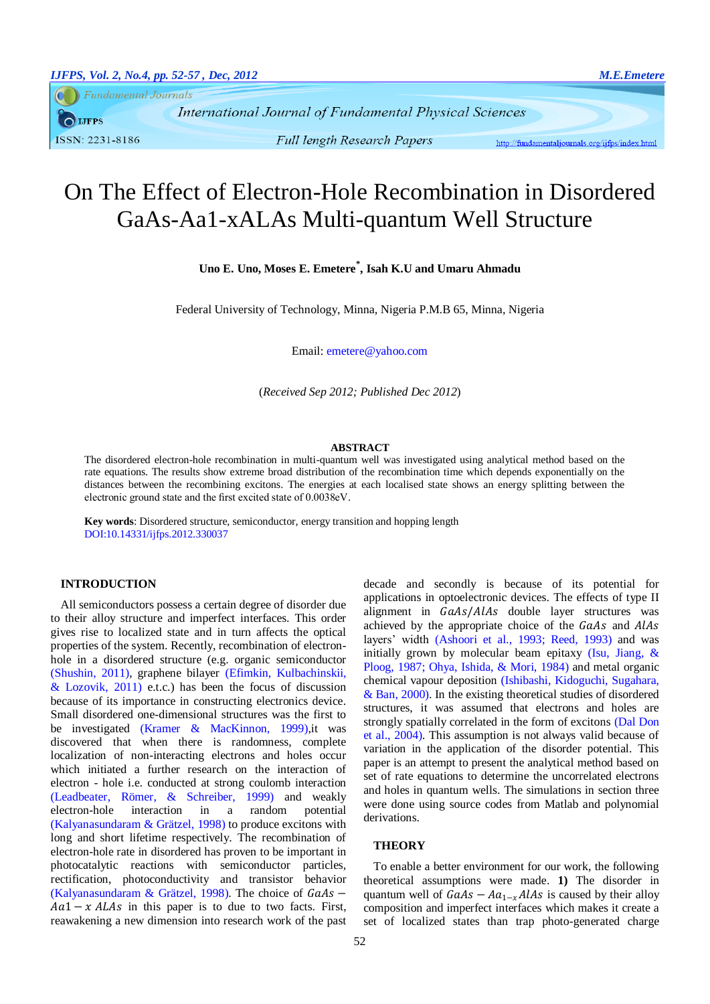**Fundamental Journals** 

**IJFPS** ISSN: 2231-8186

**Full length Research Papers** 

http://fundamentaljournals.org/ijfps/index.html

# On The Effect of Electron-Hole Recombination in Disordered GaAs-Aa1-xALAs Multi-quantum Well Structure

**Uno E. Uno, Moses E. Emetere\* , Isah K.U and Umaru Ahmadu**

Federal University of Technology, Minna, Nigeria P.M.B 65, Minna, Nigeria

Email: emetere@yahoo.com

(*Received Sep 2012; Published Dec 2012*)

#### **ABSTRACT**

The disordered electron-hole recombination in multi-quantum well was investigated using analytical method based on the rate equations. The results show extreme broad distribution of the recombination time which depends exponentially on the distances between the recombining excitons. The energies at each localised state shows an energy splitting between the electronic ground state and the first excited state of 0.0038eV.

**Key words**: Disordered structure, semiconductor, energy transition and hopping length DOI:10.14331/ijfps.2012.330037

# **INTRODUCTION**

All semiconductors possess a certain degree of disorder due to their alloy structure and imperfect interfaces. This order gives rise to localized state and in turn affects the optical properties of the system. Recently, recombination of electronhole in a disordered structure (e.g. organic semiconductor [\(Shushin, 2011\)](#page-5-0), graphene bilayer [\(Efimkin, Kulbachinskii,](#page-4-0)  & Lozovik,  $2011$ ) e.t.c.) has been the focus of discussion because of its importance in constructing electronics device. Small disordered one-dimensional structures was the first to be investigated [\(Kramer & MacKinnon, 1999\)](#page-5-1),it was discovered that when there is randomness, complete localization of non-interacting electrons and holes occur which initiated a further research on the interaction of electron - hole i.e. conducted at strong coulomb interaction [\(Leadbeater, Römer, & Schreiber, 1999\)](#page-5-2) and weakly electron-hole interaction in a random potential [\(Kalyanasundaram & Grätzel, 1998\)](#page-4-1) to produce excitons with long and short lifetime respectively. The recombination of electron-hole rate in disordered has proven to be important in photocatalytic reactions with semiconductor particles, rectification, photoconductivity and transistor behavior [\(Kalyanasundaram & Grätzel, 1998\)](#page-4-1). The choice of  $GaAs$  –  $Aa1 - xALAs$  in this paper is to due to two facts. First, reawakening a new dimension into research work of the past

decade and secondly is because of its potential for applications in optoelectronic devices. The effects of type II alignment in GaAs/AlAs double layer structures was achieved by the appropriate choice of the GaAs and AlAs layers' width [\(Ashoori et al., 1993;](#page-4-2) [Reed, 1993\)](#page-5-3) and was initially grown by molecular beam epitaxy (Isu, Jiang,  $\&$ [Ploog, 1987;](#page-4-3) [Ohya, Ishida, & Mori, 1984\)](#page-5-4) and metal organic chemical vapour deposition [\(Ishibashi, Kidoguchi, Sugahara,](#page-4-4)  [& Ban, 2000\)](#page-4-4). In the existing theoretical studies of disordered structures, it was assumed that electrons and holes are strongly spatially correlated in the form of excitons [\(Dal Don](#page-4-5)  [et al., 2004\)](#page-4-5). This assumption is not always valid because of variation in the application of the disorder potential. This paper is an attempt to present the analytical method based on set of rate equations to determine the uncorrelated electrons and holes in quantum wells. The simulations in section three were done using source codes from Matlab and polynomial derivations.

#### **THEORY**

To enable a better environment for our work, the following theoretical assumptions were made. **1)** The disorder in quantum well of  $GaAs - Aa_{1-x}AlAs$  is caused by their alloy composition and imperfect interfaces which makes it create a set of localized states than trap photo-generated charge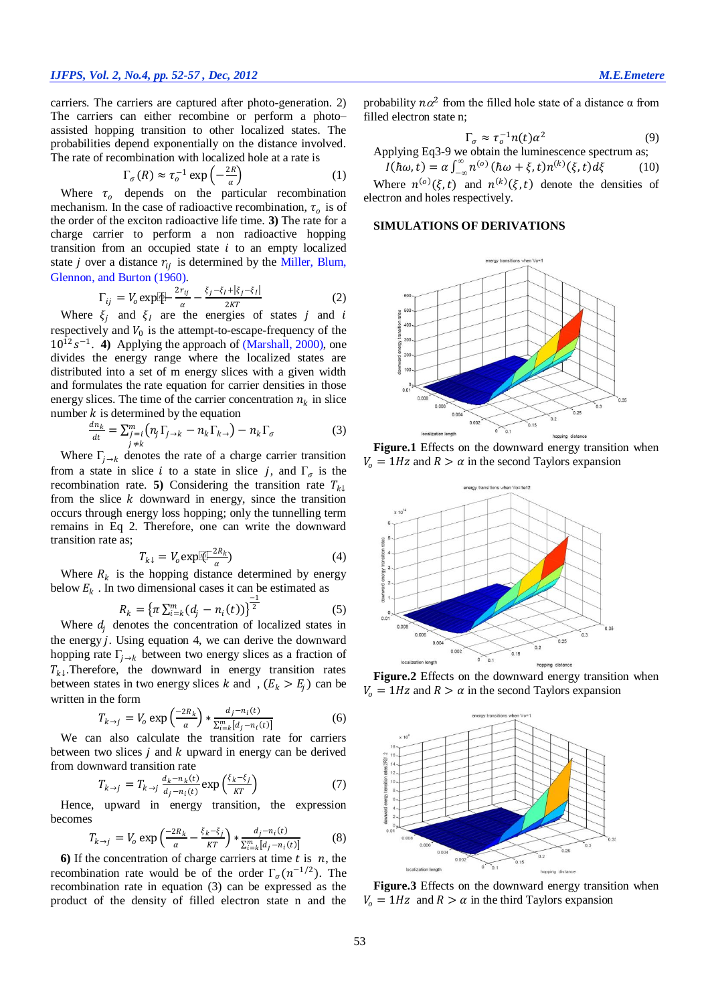carriers. The carriers are captured after photo-generation. 2) The carriers can either recombine or perform a photo– assisted hopping transition to other localized states. The probabilities depend exponentially on the distance involved. The rate of recombination with localized hole at a rate is

$$
\Gamma_{\sigma}(R) \approx \tau_o^{-1} \exp\left(-\frac{2R}{\alpha}\right) \tag{1}
$$

Where  $\tau_o$  depends on the particular recombination mechanism. In the case of radioactive recombination,  $\tau_o$  is of the order of the exciton radioactive life time. **3)** The rate for a charge carrier to perform a non radioactive hopping transition from an occupied state  $i$  to an empty localized state *j* over a distance  $r_{ij}$  is determined by the Miller, Blum, [Glennon, and Burton \(1960\)](#page-5-5).

$$
\Gamma_{ij} = V_o \exp[\frac{\mu}{\alpha} - \frac{\xi_j - \xi_l + |\xi_j - \xi_l|}{2KT}] \tag{2}
$$

Where  $\xi_i$  and  $\xi_l$  are the energies of states j and i respectively and  $V_0$  is the attempt-to-escape-frequency of the  $10^{12} s^{-1}$ . **4**) Applying the approach of [\(Marshall, 2000\)](#page-5-6), one divides the energy range where the localized states are distributed into a set of m energy slices with a given width and formulates the rate equation for carrier densities in those energy slices. The time of the carrier concentration  $n_k$  in slice number  $k$  is determined by the equation

$$
\frac{dn_k}{dt} = \sum_{\substack{j=i\\j\neq k}}^m \left( n_j \Gamma_{j\to k} - n_k \Gamma_{k\to} \right) - n_k \Gamma_{\sigma}
$$
(3)

Where  $\Gamma_{j \to k}$  denotes the rate of a charge carrier transition from a state in slice *i* to a state in slice *j*, and  $\Gamma_{\sigma}$  is the recombination rate. **5**) Considering the transition rate  $T_{k\downarrow}$ from the slice  $k$  downward in energy, since the transition occurs through energy loss hopping; only the tunnelling term remains in Eq 2. Therefore, one can write the downward transition rate as;

$$
T_{k\downarrow} = V_o \exp[\overline{\mathcal{K}}] \frac{2R_k}{\alpha} \tag{4}
$$

Where  $R_k$  is the hopping distance determined by energy below  $E_k$ . In two dimensional cases it can be estimated as

$$
R_k = \left\{ \pi \sum_{i=k}^m (d_j - n_i(t)) \right\}^2 \tag{5}
$$

Where  $d_i$  denotes the concentration of localized states in the energy  $j$ . Using equation 4, we can derive the downward hopping rate  $\Gamma_{i \to k}$  between two energy slices as a fraction of  $T_{k\downarrow}$ . Therefore, the downward in energy transition rates between states in two energy slices k and ,  $(E_k > E_j)$  can be written in the form

$$
T_{k \to j} = V_o \exp\left(\frac{-2R_k}{\alpha}\right) * \frac{d_j - n_i(t)}{\sum_{i=k}^m [d_j - n_i(t)]}
$$
(6)

We can also calculate the transition rate for carriers between two slices  $j$  and  $k$  upward in energy can be derived from downward transition rate

$$
T_{k \to j} = T_{k \to j} \frac{d_k - n_k(t)}{d_j - n_i(t)} \exp\left(\frac{\xi_k - \xi_j}{KT}\right) \tag{7}
$$

Hence, upward in energy transition, the expression becomes

$$
T_{k \to j} = V_o \exp\left(\frac{-2R_k}{\alpha} - \frac{\xi_k - \xi_j}{KT}\right) * \frac{d_j - n_i(t)}{\sum_{i=k}^m [d_j - n_i(t)]}
$$
(8)

**6)** If the concentration of charge carriers at time  $t$  is  $n$ , the recombination rate would be of the order  $\Gamma_{\sigma}(n^{-1/2})$ . The recombination rate in equation (3) can be expressed as the product of the density of filled electron state n and the

probability  $n\alpha^2$  from the filled hole state of a distance  $\alpha$  from filled electron state n;

$$
\Gamma_{\sigma} \approx \tau_o^{-1} n(t) \alpha^2 \tag{9}
$$

Applying Eq3-9 we obtain the luminescence spectrum as;

 $I(\hbar\omega, t) = \alpha \int_{-\infty}^{\infty} n^{(o)} (\hbar\omega + \xi, t) n^{(k)}(\xi, t) d\xi$  (10) Where  $n^{(0)}(\xi, t)$  and  $n^{(k)}(\xi, t)$  denote the densities of

electron and holes respectively.

### **SIMULATIONS OF DERIVATIONS**



**Figure.1** Effects on the downward energy transition when  $V_0 = 1 Hz$  and  $R > \alpha$  in the second Taylors expansion



**Figure.2** Effects on the downward energy transition when  $V_0 = 1 Hz$  and  $R > \alpha$  in the second Taylors expansion



**Figure.3** Effects on the downward energy transition when  $V_0 = 1 Hz$  and  $R > \alpha$  in the third Taylors expansion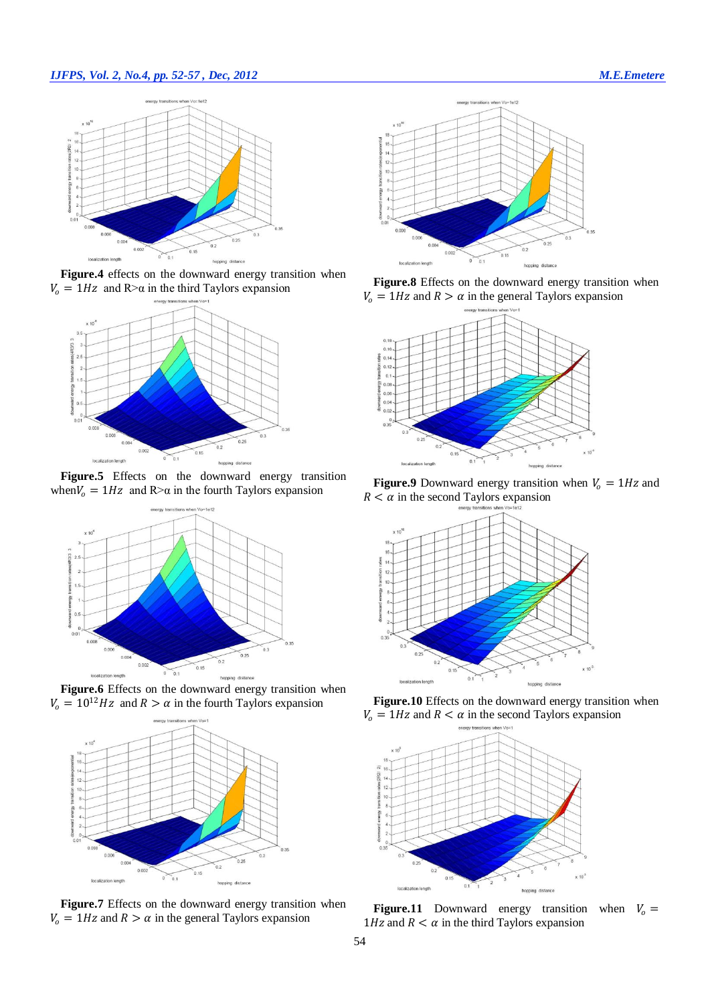# *IJFPS, Vol. 2, No.4, pp. 52-57 , Dec, 2012 M.E.Emetere*



**Figure.4** effects on the downward energy transition when  $V_0 = 1 Hz$  and R> $\alpha$  in the third Taylors expansion



Figure.5 Effects on the downward energy transition when  $V_0 = 1$  Hz and R> $\alpha$  in the fourth Taylors expansion











**Figure.8** Effects on the downward energy transition when  $V_0 = 1 Hz$  and  $R > \alpha$  in the general Taylors expansion



**Figure.9** Downward energy transition when  $V_0 = 1 Hz$  and  $R < \alpha$  in the second Taylors expansion



**Figure.10** Effects on the downward energy transition when  $V_0 = 1 Hz$  and  $R < \alpha$  in the second Taylors expansion



**Figure.11** Downward energy transition when  $V_0$  = 1Hz and  $R < \alpha$  in the third Taylors expansion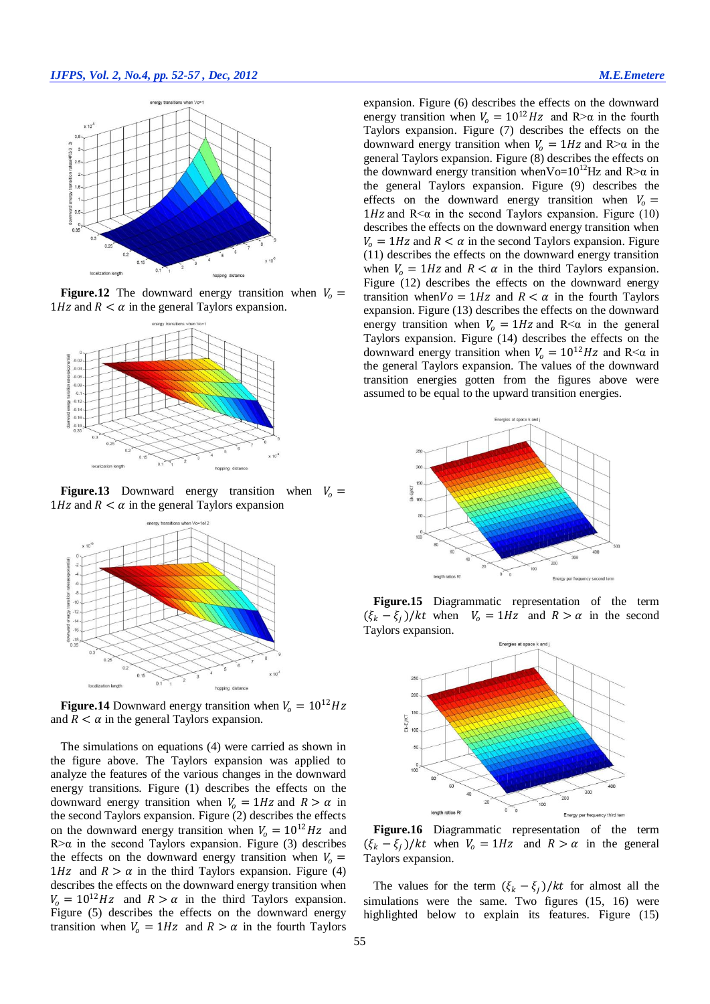#### *IJFPS, Vol. 2, No.4, pp. 52-57 , Dec, 2012 M.E.Emetere*



**Figure.12** The downward energy transition when  $V_0$  = 1Hz and  $R < \alpha$  in the general Taylors expansion.



**Figure.13** Downward energy transition when  $V_0 =$ 1Hz and  $R < \alpha$  in the general Taylors expansion



**Figure.14** Downward energy transition when  $V_0 = 10^{12} Hz$ and  $R < \alpha$  in the general Taylors expansion.

The simulations on equations (4) were carried as shown in the figure above. The Taylors expansion was applied to analyze the features of the various changes in the downward energy transitions. Figure (1) describes the effects on the downward energy transition when  $V_0 = 1 Hz$  and  $R > \alpha$  in the second Taylors expansion. Figure (2) describes the effects on the downward energy transition when  $V_0 = 10^{12} Hz$  and R> $\alpha$  in the second Taylors expansion. Figure (3) describes the effects on the downward energy transition when  $V_0 =$ 1Hz and  $R > \alpha$  in the third Taylors expansion. Figure (4) describes the effects on the downward energy transition when  $V_0 = 10^{12} Hz$  and  $R > \alpha$  in the third Taylors expansion. Figure (5) describes the effects on the downward energy transition when  $V_0 = 1Hz$  and  $R > \alpha$  in the fourth Taylors expansion. Figure (6) describes the effects on the downward energy transition when  $V_0 = 10^{12} Hz$  and R> $\alpha$  in the fourth Taylors expansion. Figure (7) describes the effects on the downward energy transition when  $V_0 = 1 Hz$  and R> $\alpha$  in the general Taylors expansion. Figure (8) describes the effects on the downward energy transition when Vo= $10^{12}$ Hz and R> $\alpha$  in the general Taylors expansion. Figure (9) describes the effects on the downward energy transition when  $V_0 =$  $1 Hz$  and R $\lt \alpha$  in the second Taylors expansion. Figure (10) describes the effects on the downward energy transition when  $V_0 = 1 Hz$  and  $R < \alpha$  in the second Taylors expansion. Figure (11) describes the effects on the downward energy transition when  $V_0 = 1 Hz$  and  $R < \alpha$  in the third Taylors expansion. Figure (12) describes the effects on the downward energy transition when  $V_0 = 1$  Hz and  $R < \alpha$  in the fourth Taylors expansion. Figure (13) describes the effects on the downward energy transition when  $V_0 = 1 Hz$  and  $R < \alpha$  in the general Taylors expansion. Figure (14) describes the effects on the downward energy transition when  $V_0 = 10^{12} Hz$  and R<a in the general Taylors expansion. The values of the downward transition energies gotten from the figures above were assumed to be equal to the upward transition energies.



**Figure.15** Diagrammatic representation of the term  $(\xi_k - \xi_j)/kt$  when  $V_o = 1Hz$  and  $R > \alpha$  in the second Taylors expansion.



**Figure.16** Diagrammatic representation of the term  $(\xi_k - \xi_j)/kt$  when  $V_0 = 1Hz$  and  $R > \alpha$  in the general Taylors expansion.

The values for the term  $(\xi_k - \xi_j)/kt$  for almost all the simulations were the same. Two figures (15, 16) were highlighted below to explain its features. Figure (15)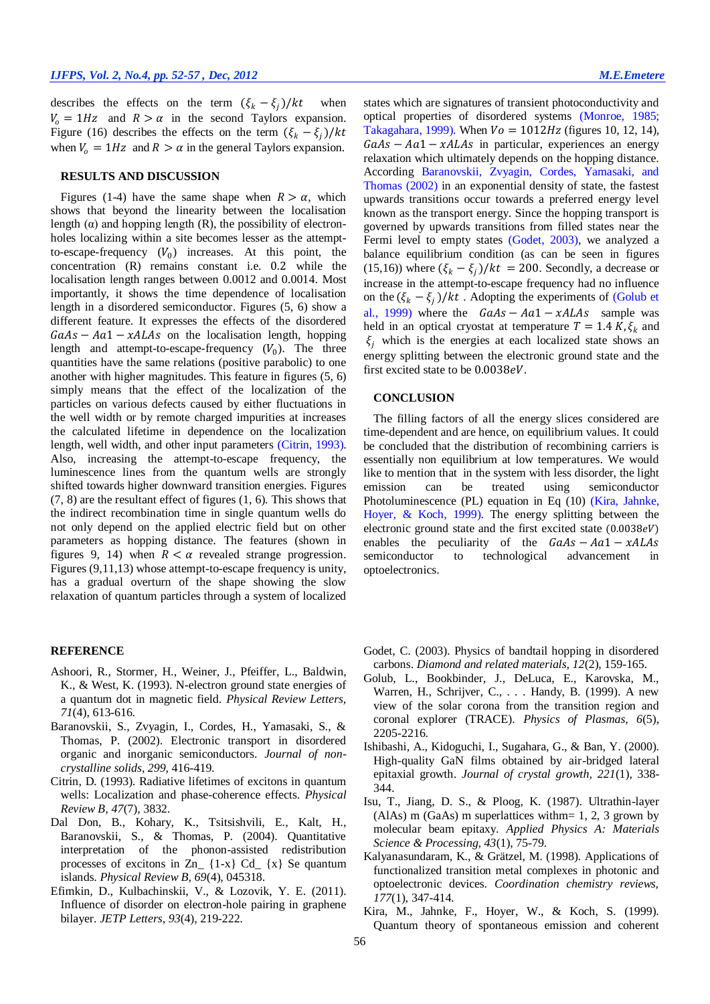describes the effects on the term  $(\xi_k - \xi_j)/kt$  when  $V_0 = 1 Hz$  and  $R > \alpha$  in the second Taylors expansion. Figure (16) describes the effects on the term  $(\xi_k - \xi_j)/kt$ when  $V_0 = 1Hz$  and  $R > \alpha$  in the general Taylors expansion.

#### **RESULTS AND DISCUSSION**

Figures (1-4) have the same shape when  $R > \alpha$ , which shows that beyond the linearity between the localisation length  $(\alpha)$  and hopping length  $(R)$ , the possibility of electronholes localizing within a site becomes lesser as the attemptto-escape-frequency  $(V_0)$  increases. At this point, the concentration (R) remains constant i.e. 0.2 while the localisation length ranges between 0.0012 and 0.0014. Most importantly, it shows the time dependence of localisation length in a disordered semiconductor. Figures (5, 6) show a different feature. It expresses the effects of the disordered  $GaAs - Aa1 - xALAs$  on the localisation length, hopping length and attempt-to-escape-frequency  $(V_0)$ . The three quantities have the same relations (positive parabolic) to one another with higher magnitudes. This feature in figures (5, 6) simply means that the effect of the localization of the particles on various defects caused by either fluctuations in the well width or by remote charged impurities at increases the calculated lifetime in dependence on the localization length, well width, and other input parameters [\(Citrin, 1993\)](#page-4-6). Also, increasing the attempt-to-escape frequency, the luminescence lines from the quantum wells are strongly shifted towards higher downward transition energies. Figures (7, 8) are the resultant effect of figures (1, 6). This shows that the indirect recombination time in single quantum wells do not only depend on the applied electric field but on other parameters as hopping distance. The features (shown in figures 9, 14) when  $R < \alpha$  revealed strange progression. Figures (9,11,13) whose attempt-to-escape frequency is unity. has a gradual overturn of the shape showing the slow relaxation of quantum particles through a system of localized

#### **REFERENCE**

- <span id="page-4-2"></span>Ashoori, R., Stormer, H., Weiner, J., Pfeiffer, L., Baldwin, K., & West, K. (1993). N-electron ground state energies of a quantum dot in magnetic field. *Physical Review Letters, 71*(4), 613-616.
- <span id="page-4-7"></span>Baranovskii, S., Zvyagin, I., Cordes, H., Yamasaki, S., & Thomas, P. (2002). Electronic transport in disordered organic and inorganic semiconductors. *Journal of noncrystalline solids, 299*, 416-419.
- <span id="page-4-6"></span>Citrin, D. (1993). Radiative lifetimes of excitons in quantum wells: Localization and phase-coherence effects. *Physical Review B, 47*(7), 3832.
- <span id="page-4-5"></span>Dal Don, B., Kohary, K., Tsitsishvili, E., Kalt, H., Baranovskii, S., & Thomas, P. (2004). Quantitative interpretation of the phonon-assisted redistribution processes of excitons in  $Zn_{-}$  {1-x} Cd<sub>-</sub> {x} Se quantum islands. *Physical Review B, 69*(4), 045318.
- <span id="page-4-0"></span>Efimkin, D., Kulbachinskii, V., & Lozovik, Y. E. (2011). Influence of disorder on electron-hole pairing in graphene bilayer. *JETP Letters, 93*(4), 219-222.

states which are signatures of transient photoconductivity and optical properties of disordered systems [\(Monroe, 1985;](#page-5-7) [Takagahara, 1999\)](#page-5-8). When  $V_0 = 1012 Hz$  (figures 10, 12, 14),  $GaAs - Aa1 - xALAs$  in particular, experiences an energy relaxation which ultimately depends on the hopping distance. According [Baranovskii, Zvyagin, Cordes, Yamasaki, and](#page-4-7)  [Thomas \(2002\)](#page-4-7) in an exponential density of state, the fastest upwards transitions occur towards a preferred energy level known as the transport energy. Since the hopping transport is governed by upwards transitions from filled states near the Fermi level to empty states [\(Godet, 2003\)](#page-4-8), we analyzed a balance equilibrium condition (as can be seen in figures (15,16)) where  $(\xi_k - \xi_j)/kt = 200$ . Secondly, a decrease or increase in the attempt-to-escape frequency had no influence on the  $(\xi_k - \xi_j)/kt$ . Adopting the experiments of (Golub et [al., 1999\)](#page-4-9) where the  $GaAs - Aa1 - xALAs$  sample was held in an optical cryostat at temperature  $T = 1.4 K$ ,  $\xi_k$  and  $\xi_i$  which is the energies at each localized state shows an energy splitting between the electronic ground state and the first excited state to be 0.0038eV.

#### **CONCLUSION**

The filling factors of all the energy slices considered are time-dependent and are hence, on equilibrium values. It could be concluded that the distribution of recombining carriers is essentially non equilibrium at low temperatures. We would like to mention that in the system with less disorder, the light emission can be treated using semiconductor Photoluminescence (PL) equation in Eq (10) [\(Kira, Jahnke,](#page-4-10)  [Hoyer, & Koch, 1999\)](#page-4-10). The energy splitting between the electronic ground state and the first excited state  $(0.0038eV)$ enables the peculiarity of the  $GaAs - Aa1 - xALAs$ semiconductor to technological advancement in optoelectronics.

- <span id="page-4-8"></span>Godet, C. (2003). Physics of bandtail hopping in disordered carbons. *Diamond and related materials, 12*(2), 159-165.
- <span id="page-4-9"></span>Golub, L., Bookbinder, J., DeLuca, E., Karovska, M., Warren, H., Schrijver, C., . . . Handy, B. (1999). A new view of the solar corona from the transition region and coronal explorer (TRACE). *Physics of Plasmas, 6*(5), 2205-2216.
- <span id="page-4-4"></span>Ishibashi, A., Kidoguchi, I., Sugahara, G., & Ban, Y. (2000). High-quality GaN films obtained by air-bridged lateral epitaxial growth. *Journal of crystal growth, 221*(1), 338- 344.
- <span id="page-4-3"></span>Isu, T., Jiang, D. S., & Ploog, K. (1987). Ultrathin-layer (AlAs) m (GaAs) m superlattices with  $m=1, 2, 3$  grown by molecular beam epitaxy. *Applied Physics A: Materials Science & Processing, 43*(1), 75-79.
- <span id="page-4-1"></span>Kalyanasundaram, K., & Grätzel, M. (1998). Applications of functionalized transition metal complexes in photonic and optoelectronic devices. *Coordination chemistry reviews, 177*(1), 347-414.
- <span id="page-4-10"></span>Kira, M., Jahnke, F., Hoyer, W., & Koch, S. (1999). Quantum theory of spontaneous emission and coherent